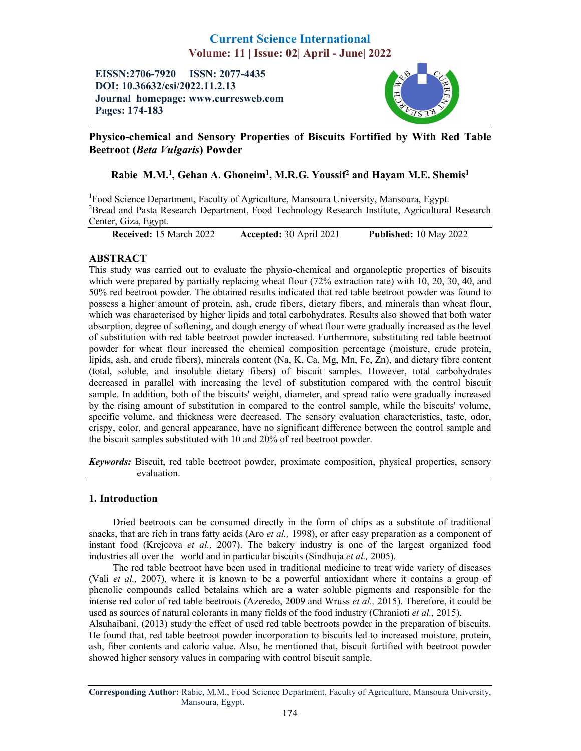# Current Science International Volume: 11 | Issue: 02| April - June| 2022

EISSN:2706-7920 ISSN: 2077-4435 DOI: 10.36632/csi/2022.11.2.13 Journal homepage: www.curresweb.com Pages: 174-183



Physico-chemical and Sensory Properties of Biscuits Fortified by With Red Table Beetroot (*Beta Vulgaris*) Powder

## Rabie M.M.<sup>1</sup>, Gehan A. Ghoneim<sup>1</sup>, M.R.G. Youssif<sup>2</sup> and Hayam M.E. Shemis<sup>1</sup>

<sup>1</sup>Food Science Department, Faculty of Agriculture, Mansoura University, Mansoura, Egypt. <sup>2</sup>Bread and Pasta Research Department, Food Technology Research Institute, Agricultural Research Center, Giza, Egypt.

Received: 15 March 2022 Accepted: 30 April 2021 Published: 10 May 2022

## ABSTRACT

This study was carried out to evaluate the physio-chemical and organoleptic properties of biscuits which were prepared by partially replacing wheat flour (72% extraction rate) with 10, 20, 30, 40, and 50% red beetroot powder. The obtained results indicated that red table beetroot powder was found to possess a higher amount of protein, ash, crude fibers, dietary fibers, and minerals than wheat flour, which was characterised by higher lipids and total carbohydrates. Results also showed that both water absorption, degree of softening, and dough energy of wheat flour were gradually increased as the level of substitution with red table beetroot powder increased. Furthermore, substituting red table beetroot powder for wheat flour increased the chemical composition percentage (moisture, crude protein, lipids, ash, and crude fibers), minerals content (Na, K, Ca, Mg, Mn, Fe, Zn), and dietary fibre content (total, soluble, and insoluble dietary fibers) of biscuit samples. However, total carbohydrates decreased in parallel with increasing the level of substitution compared with the control biscuit sample. In addition, both of the biscuits' weight, diameter, and spread ratio were gradually increased by the rising amount of substitution in compared to the control sample, while the biscuits' volume, specific volume, and thickness were decreased. The sensory evaluation characteristics, taste, odor, crispy, color, and general appearance, have no significant difference between the control sample and the biscuit samples substituted with 10 and 20% of red beetroot powder.

*Keywords:* Biscuit, red table beetroot powder, proximate composition, physical properties, sensory evaluation.

## 1. Introduction

Dried beetroots can be consumed directly in the form of chips as a substitute of traditional snacks, that are rich in trans fatty acids (Aro *et al.,* 1998), or after easy preparation as a component of instant food (Krejcova *et al.,* 2007). The bakery industry is one of the largest organized food industries all over the world and in particular biscuits (Sindhuja *et al.,* 2005).

The red table beetroot have been used in traditional medicine to treat wide variety of diseases (Vali *et al.,* 2007), where it is known to be a powerful antioxidant where it contains a group of phenolic compounds called betalains which are a water soluble pigments and responsible for the intense red color of red table beetroots (Azeredo, 2009 and Wruss *et al.,* 2015). Therefore, it could be used as sources of natural colorants in many fields of the food industry (Chranioti *et al.,* 2015).

Alsuhaibani, (2013) study the effect of used red table beetroots powder in the preparation of biscuits. He found that, red table beetroot powder incorporation to biscuits led to increased moisture, protein, ash, fiber contents and caloric value. Also, he mentioned that, biscuit fortified with beetroot powder showed higher sensory values in comparing with control biscuit sample.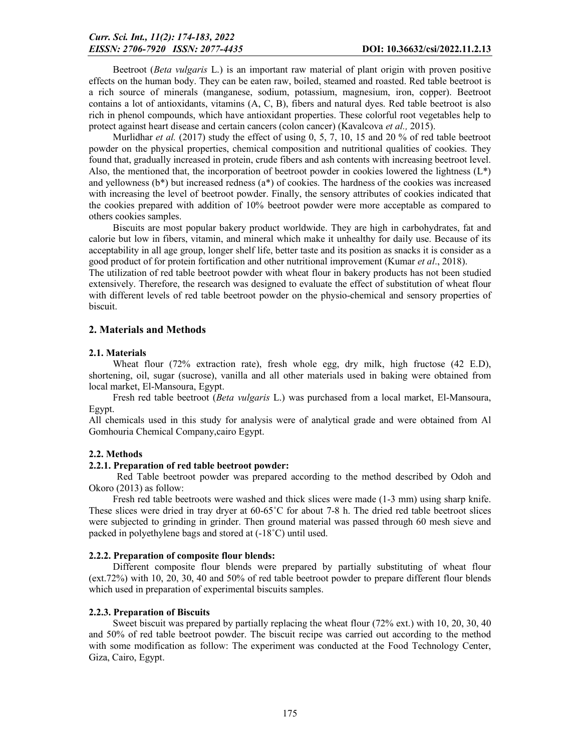Beetroot (*Beta vulgaris* L.) is an important raw material of plant origin with proven positive effects on the human body. They can be eaten raw, boiled, steamed and roasted. Red table beetroot is a rich source of minerals (manganese, sodium, potassium, magnesium, iron, copper). Beetroot contains a lot of antioxidants, vitamins (A, C, B), fibers and natural dyes. Red table beetroot is also rich in phenol compounds, which have antioxidant properties. These colorful root vegetables help to protect against heart disease and certain cancers (colon cancer) (Kavalcova *et al.,* 2015).

Murlidhar *et al.* (2017) study the effect of using 0, 5, 7, 10, 15 and 20 % of red table beetroot powder on the physical properties, chemical composition and nutritional qualities of cookies. They found that, gradually increased in protein, crude fibers and ash contents with increasing beetroot level. Also, the mentioned that, the incorporation of beetroot powder in cookies lowered the lightness (L\*) and yellowness (b\*) but increased redness (a\*) of cookies. The hardness of the cookies was increased with increasing the level of beetroot powder. Finally, the sensory attributes of cookies indicated that the cookies prepared with addition of 10% beetroot powder were more acceptable as compared to others cookies samples.

Biscuits are most popular bakery product worldwide. They are high in carbohydrates, fat and calorie but low in fibers, vitamin, and mineral which make it unhealthy for daily use. Because of its acceptability in all age group, longer shelf life, better taste and its position as snacks it is consider as a good product of for protein fortification and other nutritional improvement (Kumar *et al*., 2018).

The utilization of red table beetroot powder with wheat flour in bakery products has not been studied extensively. Therefore, the research was designed to evaluate the effect of substitution of wheat flour with different levels of red table beetroot powder on the physio-chemical and sensory properties of biscuit.

## 2. Materials and Methods

#### 2.1. Materials

Wheat flour (72% extraction rate), fresh whole egg, dry milk, high fructose (42 E.D), shortening, oil, sugar (sucrose), vanilla and all other materials used in baking were obtained from local market, El-Mansoura, Egypt.

Fresh red table beetroot (*Beta vulgaris* L.) was purchased from a local market, El-Mansoura, Egypt.

All chemicals used in this study for analysis were of analytical grade and were obtained from Al Gomhouria Chemical Company,cairo Egypt.

## 2.2. Methods

#### 2.2.1. Preparation of red table beetroot powder:

Red Table beetroot powder was prepared according to the method described by Odoh and Okoro (2013) as follow:

Fresh red table beetroots were washed and thick slices were made (1-3 mm) using sharp knife. These slices were dried in tray dryer at 60-65°C for about 7-8 h. The dried red table beetroot slices were subjected to grinding in grinder. Then ground material was passed through 60 mesh sieve and packed in polyethylene bags and stored at (-18˚C) until used.

#### 2.2.2. Preparation of composite flour blends:

Different composite flour blends were prepared by partially substituting of wheat flour (ext.72%) with 10, 20, 30, 40 and 50% of red table beetroot powder to prepare different flour blends which used in preparation of experimental biscuits samples.

#### 2.2.3. Preparation of Biscuits

Sweet biscuit was prepared by partially replacing the wheat flour (72% ext.) with 10, 20, 30, 40 and 50% of red table beetroot powder. The biscuit recipe was carried out according to the method with some modification as follow: The experiment was conducted at the Food Technology Center, Giza, Cairo, Egypt.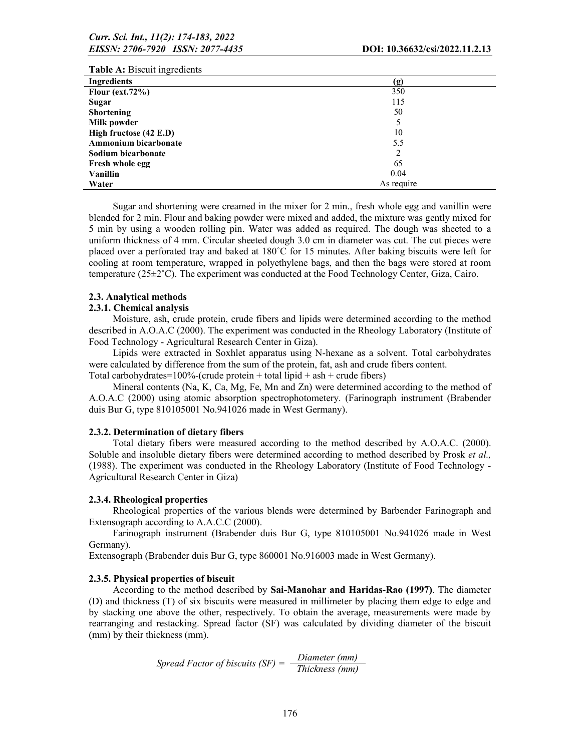| <b>Table A:</b> Biscuit ingredients |            |
|-------------------------------------|------------|
| <b>Ingredients</b>                  | (g)        |
| Flour ( $ext.72\%$ )                | 350        |
| Sugar                               | 115        |
| <b>Shortening</b>                   | 50         |
| Milk powder                         |            |
| High fructose (42 E.D)              | 10         |
| Ammonium bicarbonate                | 5.5        |
| Sodium bicarbonate                  | 2          |
| <b>Fresh whole egg</b>              | 65         |
| <b>Vanillin</b>                     | 0.04       |
| Water                               | As require |

Sugar and shortening were creamed in the mixer for 2 min., fresh whole egg and vanillin were blended for 2 min. Flour and baking powder were mixed and added, the mixture was gently mixed for 5 min by using a wooden rolling pin. Water was added as required. The dough was sheeted to a uniform thickness of 4 mm. Circular sheeted dough 3.0 cm in diameter was cut. The cut pieces were placed over a perforated tray and baked at 180˚C for 15 minutes. After baking biscuits were left for cooling at room temperature, wrapped in polyethylene bags, and then the bags were stored at room temperature  $(25\pm2\degree C)$ . The experiment was conducted at the Food Technology Center, Giza, Cairo.

#### 2.3. Analytical methods

### 2.3.1. Chemical analysis

Moisture, ash, crude protein, crude fibers and lipids were determined according to the method described in A.O.A.C (2000). The experiment was conducted in the Rheology Laboratory (Institute of Food Technology - Agricultural Research Center in Giza).

Lipids were extracted in Soxhlet apparatus using N-hexane as a solvent. Total carbohydrates were calculated by difference from the sum of the protein, fat, ash and crude fibers content.

Total carbohydrates=100%-(crude protein + total lipid + ash + crude fibers)

Mineral contents (Na, K, Ca, Mg, Fe, Mn and Zn) were determined according to the method of A.O.A.C (2000) using atomic absorption spectrophotometery. (Farinograph instrument (Brabender duis Bur G, type 810105001 No.941026 made in West Germany).

#### 2.3.2. Determination of dietary fibers

Total dietary fibers were measured according to the method described by A.O.A.C. (2000). Soluble and insoluble dietary fibers were determined according to method described by Prosk *et al.,*  (1988). The experiment was conducted in the Rheology Laboratory (Institute of Food Technology - Agricultural Research Center in Giza)

#### 2.3.4. Rheological properties

Rheological properties of the various blends were determined by Barbender Farinograph and Extensograph according to A.A.C.C (2000).

Farinograph instrument (Brabender duis Bur G, type 810105001 No.941026 made in West Germany).

Extensograph (Brabender duis Bur G, type 860001 No.916003 made in West Germany).

#### 2.3.5. Physical properties of biscuit

According to the method described by Sai-Manohar and Haridas-Rao (1997). The diameter (D) and thickness (T) of six biscuits were measured in millimeter by placing them edge to edge and by stacking one above the other, respectively. To obtain the average, measurements were made by rearranging and restacking. Spread factor (SF) was calculated by dividing diameter of the biscuit (mm) by their thickness (mm).

*Spread Factor of biscuits (SF) = Diameter (mm) Thickness (mm)*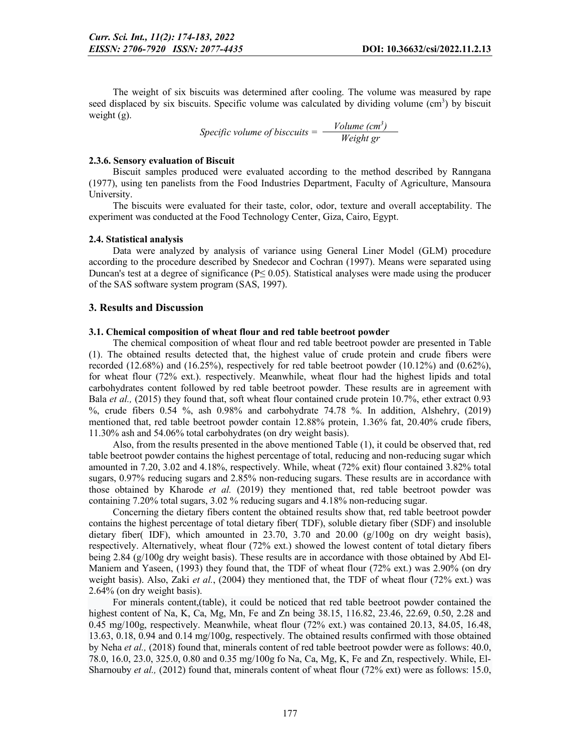The weight of six biscuits was determined after cooling. The volume was measured by rape seed displaced by six biscuits. Specific volume was calculated by dividing volume (cm<sup>3</sup>) by biscuit weight (g).

> *Specific volume of bisccuits = Volume (cm3 ) Weight gr*

#### 2.3.6. Sensory evaluation of Biscuit

Biscuit samples produced were evaluated according to the method described by Ranngana (1977), using ten panelists from the Food Industries Department, Faculty of Agriculture, Mansoura University.

The biscuits were evaluated for their taste, color, odor, texture and overall acceptability. The experiment was conducted at the Food Technology Center, Giza, Cairo, Egypt.

#### 2.4. Statistical analysis

Data were analyzed by analysis of variance using General Liner Model (GLM) procedure according to the procedure described by Snedecor and Cochran (1997). Means were separated using Duncan's test at a degree of significance ( $P \leq 0.05$ ). Statistical analyses were made using the producer of the SAS software system program (SAS, 1997).

#### 3. Results and Discussion

#### 3.1. Chemical composition of wheat flour and red table beetroot powder

The chemical composition of wheat flour and red table beetroot powder are presented in Table (1). The obtained results detected that, the highest value of crude protein and crude fibers were recorded (12.68%) and (16.25%), respectively for red table beetroot powder (10.12%) and (0.62%), for wheat flour (72% ext.). respectively. Meanwhile, wheat flour had the highest lipids and total carbohydrates content followed by red table beetroot powder. These results are in agreement with Bala et al., (2015) they found that, soft wheat flour contained crude protein 10.7%, ether extract 0.93 %, crude fibers 0.54 %, ash 0.98% and carbohydrate 74.78 %. In addition, Alshehry, (2019) mentioned that, red table beetroot powder contain 12.88% protein, 1.36% fat, 20.40% crude fibers, 11.30% ash and 54.06% total carbohydrates (on dry weight basis).

Also, from the results presented in the above mentioned Table (1), it could be observed that, red table beetroot powder contains the highest percentage of total, reducing and non-reducing sugar which amounted in 7.20, 3.02 and 4.18%, respectively. While, wheat (72% exit) flour contained 3.82% total sugars, 0.97% reducing sugars and 2.85% non-reducing sugars. These results are in accordance with those obtained by Kharode *et al.* (2019) they mentioned that, red table beetroot powder was containing 7.20% total sugars, 3.02 % reducing sugars and 4.18% non-reducing sugar.

Concerning the dietary fibers content the obtained results show that, red table beetroot powder contains the highest percentage of total dietary fiber( TDF), soluble dietary fiber (SDF) and insoluble dietary fiber( IDF), which amounted in 23.70, 3.70 and 20.00  $(g/100g)$  on dry weight basis), respectively. Alternatively, wheat flour (72% ext.) showed the lowest content of total dietary fibers being 2.84 (g/100g dry weight basis). These results are in accordance with those obtained by Abd El-Maniem and Yaseen, (1993) they found that, the TDF of wheat flour (72% ext.) was 2.90% (on dry weight basis). Also, Zaki *et al.*, (2004) they mentioned that, the TDF of wheat flour (72% ext.) was 2.64% (on dry weight basis).

For minerals content,(table), it could be noticed that red table beetroot powder contained the highest content of Na, K, Ca, Mg, Mn, Fe and Zn being 38.15, 116.82, 23.46, 22.69, 0.50, 2.28 and 0.45 mg/100g, respectively. Meanwhile, wheat flour (72% ext.) was contained 20.13, 84.05, 16.48, 13.63, 0.18, 0.94 and 0.14 mg/100g, respectively. The obtained results confirmed with those obtained by Neha *et al.,* (2018) found that, minerals content of red table beetroot powder were as follows: 40.0, 78.0, 16.0, 23.0, 325.0, 0.80 and 0.35 mg/100g fo Na, Ca, Mg, K, Fe and Zn, respectively. While, El-Sharnouby *et al.,* (2012) found that, minerals content of wheat flour (72% ext) were as follows: 15.0,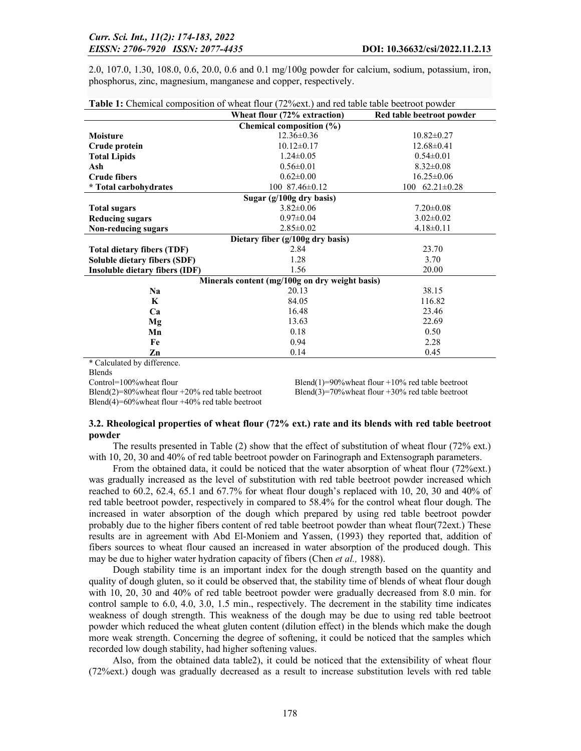2.0, 107.0, 1.30, 108.0, 0.6, 20.0, 0.6 and 0.1 mg/100g powder for calcium, sodium, potassium, iron, phosphorus, zinc, magnesium, manganese and copper, respectively.

| <b>Table 1:</b> Chemical composition of wheat flour (72% ext.) and red table table beetroot powder |                              |                           |  |  |  |  |  |
|----------------------------------------------------------------------------------------------------|------------------------------|---------------------------|--|--|--|--|--|
|                                                                                                    | Wheat flour (72% extraction) | Red table beetroot powder |  |  |  |  |  |
|                                                                                                    | Chemical composition (%)     |                           |  |  |  |  |  |
| <b>Moisture</b>                                                                                    | $12.36 \pm 0.36$             | $10.82 \pm 0.27$          |  |  |  |  |  |
| Crude protein                                                                                      | $10.12 \pm 0.17$             | $12.68 \pm 0.41$          |  |  |  |  |  |
| <b>Total Lipids</b>                                                                                | $1.24 \pm 0.05$              | $0.54 \pm 0.01$           |  |  |  |  |  |
| Ash                                                                                                | $0.56 \pm 0.01$              | $8.32 \pm 0.08$           |  |  |  |  |  |
| <b>Crude fibers</b>                                                                                | $0.62 \pm 0.00$              | $16.25 \pm 0.06$          |  |  |  |  |  |
| * Total carbohydrates                                                                              | $100\ \ 87.46 \pm 0.12$      | 100 $62.21 \pm 0.28$      |  |  |  |  |  |
| Sugar (g/100g dry basis)                                                                           |                              |                           |  |  |  |  |  |
| <b>Total sugars</b>                                                                                | $3.82 \pm 0.06$              | $7.20 \pm 0.08$           |  |  |  |  |  |
| <b>Reducing sugars</b>                                                                             | $0.97 \pm 0.04$              | $3.02 \pm 0.02$           |  |  |  |  |  |
| Non-reducing sugars                                                                                | $2.85 \pm 0.02$              | $4.18 \pm 0.11$           |  |  |  |  |  |
| Dietary fiber $(g/100g)$ dry basis)                                                                |                              |                           |  |  |  |  |  |
| <b>Total dietary fibers (TDF)</b>                                                                  | 2.84                         | 23.70                     |  |  |  |  |  |
| Soluble dietary fibers (SDF)                                                                       | 1.28                         | 3.70                      |  |  |  |  |  |
| Insoluble dietary fibers (IDF)                                                                     | 1.56                         | 20.00                     |  |  |  |  |  |
| Minerals content (mg/100g on dry weight basis)                                                     |                              |                           |  |  |  |  |  |
| N <sub>a</sub>                                                                                     | 20.13                        | 38.15                     |  |  |  |  |  |
| K                                                                                                  | 84.05                        | 116.82                    |  |  |  |  |  |
| Ca                                                                                                 | 16.48                        | 23.46                     |  |  |  |  |  |
| Mg                                                                                                 | 13.63                        | 22.69                     |  |  |  |  |  |
| Mn                                                                                                 | 0.18                         | 0.50                      |  |  |  |  |  |
| Fe                                                                                                 | 0.94                         | 2.28                      |  |  |  |  |  |
| Zn                                                                                                 | 0.14                         | 0.45                      |  |  |  |  |  |
| 1.00<br>$+$ $-$ 1 $+$ 1 $+$ 1 1 1                                                                  |                              |                           |  |  |  |  |  |

\* Calculated by difference.

Blends

Blend(4)=60%wheat flour +40% red table beetroot

Control=100%wheat flour<br>Blend(1)=90%wheat flour +10% red table beetroot<br>Blend(3)=70%wheat flour +30% red table beetroot<br>Blend(3)=70%wheat flour +30% red table beetroot Blend(3)=70%wheat flour +30% red table beetroot

### 3.2. Rheological properties of wheat flour (72% ext.) rate and its blends with red table beetroot powder

The results presented in Table (2) show that the effect of substitution of wheat flour (72% ext.) with 10, 20, 30 and 40% of red table beetroot powder on Farinograph and Extensograph parameters.

From the obtained data, it could be noticed that the water absorption of wheat flour (72%ext.) was gradually increased as the level of substitution with red table beetroot powder increased which reached to 60.2, 62.4, 65.1 and 67.7% for wheat flour dough's replaced with 10, 20, 30 and 40% of red table beetroot powder, respectively in compared to 58.4% for the control wheat flour dough. The increased in water absorption of the dough which prepared by using red table beetroot powder probably due to the higher fibers content of red table beetroot powder than wheat flour(72ext.) These results are in agreement with Abd El-Moniem and Yassen, (1993) they reported that, addition of fibers sources to wheat flour caused an increased in water absorption of the produced dough. This may be due to higher water hydration capacity of fibers (Chen *et al.,* 1988).

Dough stability time is an important index for the dough strength based on the quantity and quality of dough gluten, so it could be observed that, the stability time of blends of wheat flour dough with 10, 20, 30 and 40% of red table beetroot powder were gradually decreased from 8.0 min. for control sample to 6.0, 4.0, 3.0, 1.5 min., respectively. The decrement in the stability time indicates weakness of dough strength. This weakness of the dough may be due to using red table beetroot powder which reduced the wheat gluten content (dilution effect) in the blends which make the dough more weak strength. Concerning the degree of softening, it could be noticed that the samples which recorded low dough stability, had higher softening values.

Also, from the obtained data table2), it could be noticed that the extensibility of wheat flour (72%ext.) dough was gradually decreased as a result to increase substitution levels with red table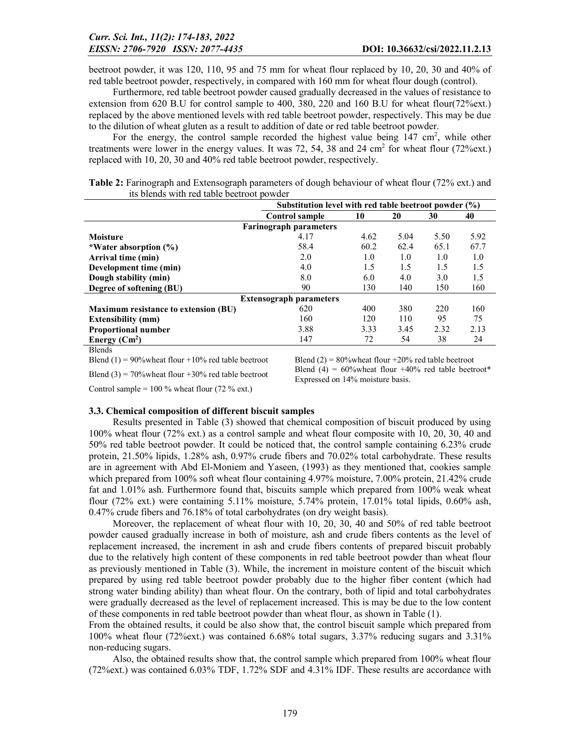beetroot powder, it was 120, 110, 95 and 75 mm for wheat flour replaced by 10, 20, 30 and 40% of red table beetroot powder, respectively, in compared with 160 mm for wheat flour dough (control).

Furthermore, red table beetroot powder caused gradually decreased in the values of resistance to extension from 620 B.U for control sample to 400, 380, 220 and 160 B.U for wheat flour(72%ext.) replaced by the above mentioned levels with red table beetroot powder, respectively. This may be due to the dilution of wheat gluten as a result to addition of date or red table beetroot powder.

For the energy, the control sample recorded the highest value being  $147 \text{ cm}^2$ , while other treatments were lower in the energy values. It was 72, 54, 38 and 24 cm<sup>2</sup> for wheat flour (72%ext.) replaced with 10, 20, 30 and 40% red table beetroot powder, respectively.

| Table 2: Farinograph and Extensograph parameters of dough behaviour of wheat flour (72% ext.) and |  |
|---------------------------------------------------------------------------------------------------|--|
| its blends with red table beetroot powder                                                         |  |

|                                             | Substitution level with red table beetroot powder (%) |      |      |      |      |
|---------------------------------------------|-------------------------------------------------------|------|------|------|------|
|                                             | <b>Control sample</b>                                 | 40   |      |      |      |
|                                             | <b>Farinograph parameters</b>                         |      |      |      |      |
| Moisture                                    | 4.17                                                  | 4.62 | 5.04 | 5.50 | 5.92 |
| *Water absorption (%)                       | 58.4                                                  | 60.2 | 62.4 | 65.1 | 67.7 |
| Arrival time (min)                          | 2.0                                                   | 1.0  | 1.0  | 1.0  | 1.0  |
| Development time (min)                      | 4.0                                                   | 1.5  | 1.5  | 1.5  | 1.5  |
| Dough stability (min)                       | 8.0                                                   | 6.0  | 4.0  | 3.0  | 1.5  |
| Degree of softening (BU)                    | 90                                                    | 130  | 140  | 150  | 160  |
|                                             | <b>Extensograph parameters</b>                        |      |      |      |      |
| <b>Maximum resistance to extension (BU)</b> | 620                                                   | 400  | 380  | 220  | 160  |
| <b>Extensibility (mm)</b>                   | 160                                                   | 120  | 110  | 95   | 75   |
| <b>Proportional number</b>                  | 3.88                                                  | 3.33 | 3.45 | 2.32 | 2.13 |
| Energy $(Cm^2)$                             | 147                                                   | 72   | 54   | 38   | 24   |
| $T = 1$                                     |                                                       |      |      |      |      |

Blends

Blend (3) = 70% wheat flour +30% red table beetroot Blend (4) = 60% wheat flour +40% red table beetroot\* Expressed on 14% moisture basis.

Control sample =  $100\%$  wheat flour (72 % ext.)

## 3.3. Chemical composition of different biscuit samples

Results presented in Table (3) showed that chemical composition of biscuit produced by using 100% wheat flour (72% ext.) as a control sample and wheat flour composite with 10, 20, 30, 40 and 50% red table beetroot powder. It could be noticed that, the control sample containing 6.23% crude protein, 21.50% lipids, 1.28% ash, 0.97% crude fibers and 70.02% total carbohydrate. These results are in agreement with Abd El-Moniem and Yaseen, (1993) as they mentioned that, cookies sample which prepared from 100% soft wheat flour containing 4.97% moisture, 7.00% protein, 21.42% crude fat and 1.01% ash. Furthermore found that, biscuits sample which prepared from 100% weak wheat flour (72% ext.) were containing 5.11% moisture, 5.74% protein, 17.01% total lipids, 0.60% ash, 0.47% crude fibers and 76.18% of total carbohydrates (on dry weight basis).

Moreover, the replacement of wheat flour with 10, 20, 30, 40 and 50% of red table beetroot powder caused gradually increase in both of moisture, ash and crude fibers contents as the level of replacement increased, the increment in ash and crude fibers contents of prepared biscuit probably due to the relatively high content of these components in red table beetroot powder than wheat flour as previously mentioned in Table (3). While, the increment in moisture content of the biscuit which prepared by using red table beetroot powder probably due to the higher fiber content (which had strong water binding ability) than wheat flour. On the contrary, both of lipid and total carbohydrates were gradually decreased as the level of replacement increased. This is may be due to the low content of these components in red table beetroot powder than wheat flour, as shown in Table (1).

From the obtained results, it could be also show that, the control biscuit sample which prepared from 100% wheat flour (72%ext.) was contained 6.68% total sugars, 3.37% reducing sugars and 3.31% non-reducing sugars.

Also, the obtained results show that, the control sample which prepared from 100% wheat flour (72%ext.) was contained 6.03% TDF, 1.72% SDF and 4.31% IDF. These results are accordance with

Blend (1) = 90% wheat flour +10% red table beetroot Blend (2) = 80% wheat flour +20% red table beetroot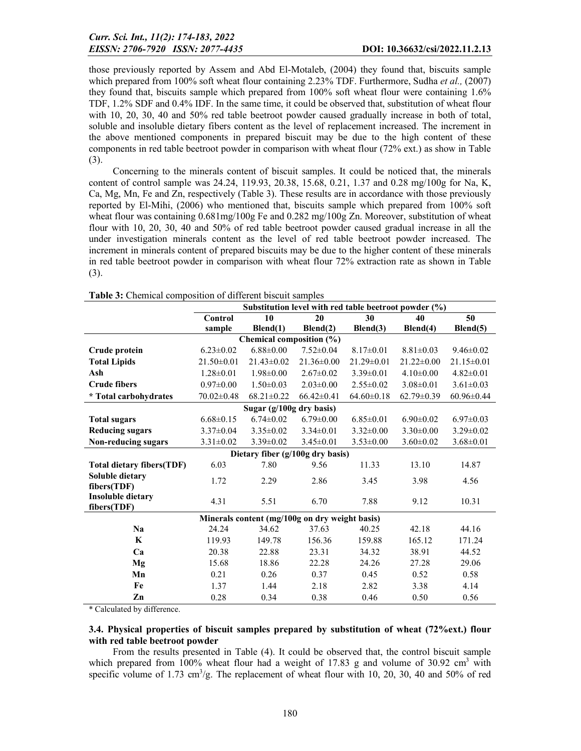those previously reported by Assem and Abd El-Motaleb, (2004) they found that, biscuits sample which prepared from 100% soft wheat flour containing 2.23% TDF. Furthermore, Sudha *et al.,* (2007) they found that, biscuits sample which prepared from 100% soft wheat flour were containing 1.6% TDF, 1.2% SDF and 0.4% IDF. In the same time, it could be observed that, substitution of wheat flour with 10, 20, 30, 40 and 50% red table beetroot powder caused gradually increase in both of total, soluble and insoluble dietary fibers content as the level of replacement increased. The increment in the above mentioned components in prepared biscuit may be due to the high content of these components in red table beetroot powder in comparison with wheat flour (72% ext.) as show in Table (3).

Concerning to the minerals content of biscuit samples. It could be noticed that, the minerals content of control sample was 24.24, 119.93, 20.38, 15.68, 0.21, 1.37 and 0.28 mg/100g for Na, K, Ca, Mg, Mn, Fe and Zn, respectively (Table 3). These results are in accordance with those previously reported by El-Mihi, (2006) who mentioned that, biscuits sample which prepared from 100% soft wheat flour was containing  $0.681$  mg/ $100g$  Fe and  $0.282$  mg/ $100g$  Zn. Moreover, substitution of wheat flour with 10, 20, 30, 40 and 50% of red table beetroot powder caused gradual increase in all the under investigation minerals content as the level of red table beetroot powder increased. The increment in minerals content of prepared biscuits may be due to the higher content of these minerals in red table beetroot powder in comparison with wheat flour 72% extraction rate as shown in Table (3).

|                                  |                  |                                                |                  | Substitution level with red table beetroot powder (%) |                  |                  |  |  |  |
|----------------------------------|------------------|------------------------------------------------|------------------|-------------------------------------------------------|------------------|------------------|--|--|--|
|                                  | <b>Control</b>   | 10                                             | 20               | 30                                                    | 40               | 50               |  |  |  |
|                                  | sample           | Blend(1)                                       | Blend(2)         | Blend(3)                                              | Blend(4)         | Blend(5)         |  |  |  |
|                                  |                  | Chemical composition (%)                       |                  |                                                       |                  |                  |  |  |  |
| Crude protein                    | $6.23 \pm 0.02$  | $6.88 \pm 0.00$                                | $7.52 \pm 0.04$  | $8.17 \pm 0.01$                                       | $8.81 \pm 0.03$  | $9.46 \pm 0.02$  |  |  |  |
| <b>Total Lipids</b>              | $21.50 \pm 0.01$ | $21.43 \pm 0.02$                               | $21.36 \pm 0.00$ | $21.29 \pm 0.01$                                      | $21.22 \pm 0.00$ | $21.15 \pm 0.01$ |  |  |  |
| Ash                              | $1.28 \pm 0.01$  | $1.98 \pm 0.00$                                | $2.67 \pm 0.02$  | $3.39 \pm 0.01$                                       | $4.10\pm0.00$    | $4.82 \pm 0.01$  |  |  |  |
| <b>Crude fibers</b>              | $0.97 \pm 0.00$  | $1.50 \pm 0.03$                                | $2.03 \pm 0.00$  | $2.55 \pm 0.02$                                       | $3.08 \pm 0.01$  | $3.61 \pm 0.03$  |  |  |  |
| <i>*</i> Total carbohydrates     | $70.02 \pm 0.48$ | $68.21 \pm 0.22$                               | $66.42 \pm 0.41$ | $64.60 \pm 0.18$                                      | $62.79 \pm 0.39$ | $60.96 \pm 0.44$ |  |  |  |
|                                  |                  | Sugar $(g/100g \, \text{dry basis})$           |                  |                                                       |                  |                  |  |  |  |
| <b>Total sugars</b>              | $6.68 \pm 0.15$  | $6.74 \pm 0.02$                                | $6.79 \pm 0.00$  | $6.85 \pm 0.01$                                       | $6.90 \pm 0.02$  | $6.97 \pm 0.03$  |  |  |  |
| <b>Reducing sugars</b>           | $3.37 \pm 0.04$  | $3.35 \pm 0.02$                                | $3.34\pm0.01$    | $3.32 \pm 0.00$                                       | $3.30\pm0.00$    | $3.29 \pm 0.02$  |  |  |  |
| Non-reducing sugars              | $3.31 \pm 0.02$  | $3.39 \pm 0.02$                                | $3.45 \pm 0.01$  | $3.53 \pm 0.00$                                       | $3.60 \pm 0.02$  | $3.68 \pm 0.01$  |  |  |  |
| Dietary fiber (g/100g dry basis) |                  |                                                |                  |                                                       |                  |                  |  |  |  |
| <b>Total dietary fibers(TDF)</b> | 6.03             | 7.80                                           | 9.56             | 11.33                                                 | 13.10            | 14.87            |  |  |  |
| Soluble dietary                  | 1.72             | 2.29                                           | 2.86             | 3.45                                                  | 3.98             | 4.56             |  |  |  |
| fibers(TDF)                      |                  |                                                |                  |                                                       |                  |                  |  |  |  |
| <b>Insoluble dietary</b>         | 4.31             | 5.51                                           | 6.70             | 7.88                                                  | 9.12             | 10.31            |  |  |  |
| fibers(TDF)                      |                  |                                                |                  |                                                       |                  |                  |  |  |  |
|                                  |                  | Minerals content (mg/100g on dry weight basis) |                  |                                                       |                  |                  |  |  |  |
| <b>Na</b>                        | 24.24            | 34.62                                          | 37.63            | 40.25                                                 | 42.18            | 44.16            |  |  |  |
| $\mathbf K$                      | 119.93           | 149.78                                         | 156.36           | 159.88                                                | 165.12           | 171.24           |  |  |  |
| Ca                               | 20.38            | 22.88                                          | 23.31            | 34.32                                                 | 38.91            | 44.52            |  |  |  |
| Mg                               | 15.68            | 18.86                                          | 22.28            | 24.26                                                 | 27.28            | 29.06            |  |  |  |
| Mn                               | 0.21             | 0.26                                           | 0.37             | 0.45                                                  | 0.52             | 0.58             |  |  |  |
| Fe                               | 1.37             | 1.44                                           | 2.18             | 2.82                                                  | 3.38             | 4.14             |  |  |  |
| Zn                               | 0.28             | 0.34                                           | 0.38             | 0.46                                                  | 0.50             | 0.56             |  |  |  |

|  |  | <b>Table 3:</b> Chemical composition of different biscuit samples |
|--|--|-------------------------------------------------------------------|
|--|--|-------------------------------------------------------------------|

\* Calculated by difference.

## 3.4. Physical properties of biscuit samples prepared by substitution of wheat (72%ext.) flour with red table beetroot powder

From the results presented in Table (4). It could be observed that, the control biscuit sample which prepared from 100% wheat flour had a weight of 17.83 g and volume of 30.92 cm<sup>3</sup> with specific volume of  $1.73 \text{ cm}^3/\text{g}$ . The replacement of wheat flour with 10, 20, 30, 40 and 50% of red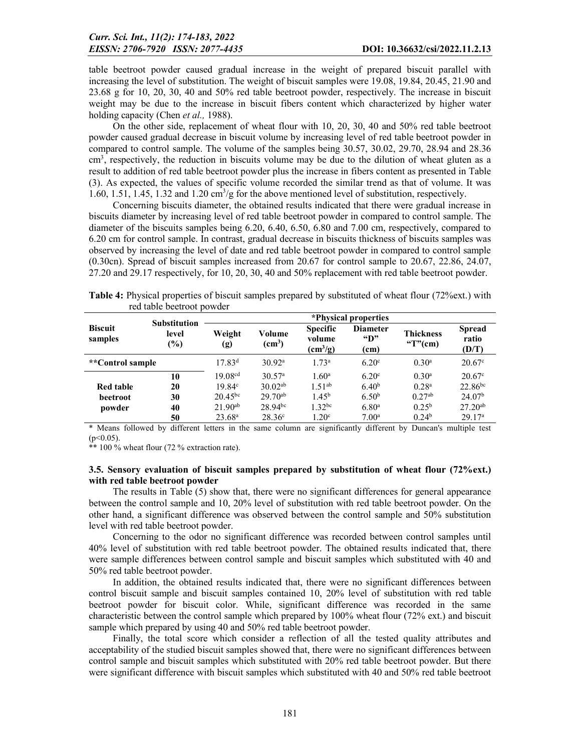table beetroot powder caused gradual increase in the weight of prepared biscuit parallel with increasing the level of substitution. The weight of biscuit samples were 19.08, 19.84, 20.45, 21.90 and 23.68 g for 10, 20, 30, 40 and 50% red table beetroot powder, respectively. The increase in biscuit weight may be due to the increase in biscuit fibers content which characterized by higher water holding capacity (Chen *et al.,* 1988).

On the other side, replacement of wheat flour with 10, 20, 30, 40 and 50% red table beetroot powder caused gradual decrease in biscuit volume by increasing level of red table beetroot powder in compared to control sample. The volume of the samples being 30.57, 30.02, 29.70, 28.94 and 28.36 cm<sup>3</sup>, respectively, the reduction in biscuits volume may be due to the dilution of wheat gluten as a result to addition of red table beetroot powder plus the increase in fibers content as presented in Table (3). As expected, the values of specific volume recorded the similar trend as that of volume. It was 1.60, 1.51, 1.45, 1.32 and 1.20 cm<sup>3</sup>/g for the above mentioned level of substitution, respectively.

Concerning biscuits diameter, the obtained results indicated that there were gradual increase in biscuits diameter by increasing level of red table beetroot powder in compared to control sample. The diameter of the biscuits samples being 6.20, 6.40, 6.50, 6.80 and 7.00 cm, respectively, compared to 6.20 cm for control sample. In contrast, gradual decrease in biscuits thickness of biscuits samples was observed by increasing the level of date and red table beetroot powder in compared to control sample (0.30cn). Spread of biscuit samples increased from 20.67 for control sample to 20.67, 22.86, 24.07, 27.20 and 29.17 respectively, for 10, 20, 30, 40 and 50% replacement with red table beetroot powder.

|                           | Tur iaun buurbu powdu                         |                      |                              |                                                       |                                         |                                |                                 |
|---------------------------|-----------------------------------------------|----------------------|------------------------------|-------------------------------------------------------|-----------------------------------------|--------------------------------|---------------------------------|
|                           | <b>Substitution</b><br>level<br>$\frac{6}{2}$ | *Physical properties |                              |                                                       |                                         |                                |                                 |
| <b>Biscuit</b><br>samples |                                               | Weight<br>(g)        | Volume<br>(cm <sup>3</sup> ) | <b>Specific</b><br>volume<br>$\text{(cm}^3\text{/g)}$ | <b>Diameter</b><br>$\mathbf{H}$<br>(cm) | <b>Thickness</b><br>"T" $(cm)$ | <b>Spread</b><br>ratio<br>(D/T) |
| <i>**</i> Control sample  |                                               | 17.83 <sup>d</sup>   | 30.92 <sup>a</sup>           | 1.73 <sup>a</sup>                                     | 6.20 <sup>c</sup>                       | $0.30^{\rm a}$                 | $20.67$ <sup>c</sup>            |
|                           | 10                                            | 19.08 <sup>cd</sup>  | 30.57 <sup>a</sup>           | $1.60^{\rm a}$                                        | $6.20^\circ$                            | $0.30^{\rm a}$                 | $20.67$ °                       |
| <b>Red table</b>          | 20                                            | $19.84^{\circ}$      | $30.02^{ab}$                 | $1.51^{ab}$                                           | 6.40 <sup>b</sup>                       | 0.28 <sup>a</sup>              | $22.86^{bc}$                    |
| beetroot                  | 30                                            | $20.45^{bc}$         | $29.70^{ab}$                 | $1.45^{\rm b}$                                        | 6.50 <sup>b</sup>                       | $0.27^{ab}$                    | 24.07 <sup>b</sup>              |
| powder                    | 40                                            | $21.90^{ab}$         | $28.94^{bc}$                 | $1.32^{bc}$                                           | 6.80 <sup>a</sup>                       | $0.25^{\rm b}$                 | $27.20^{ab}$                    |
|                           | 50                                            | $23.68^{\rm a}$      | $28.36^{\circ}$              | 1.20 <sup>c</sup>                                     | 7.00 <sup>a</sup>                       | 0.24 <sup>b</sup>              | 29.17 <sup>a</sup>              |

Table 4: Physical properties of biscuit samples prepared by substituted of wheat flour (72%ext.) with red table beetroot powder

\* Means followed by different letters in the same column are significantly different by Duncan's multiple test (p<0.05).

\*\* 100 % wheat flour (72 % extraction rate).

### 3.5. Sensory evaluation of biscuit samples prepared by substitution of wheat flour (72%ext.) with red table beetroot powder

The results in Table (5) show that, there were no significant differences for general appearance between the control sample and 10, 20% level of substitution with red table beetroot powder. On the other hand, a significant difference was observed between the control sample and 50% substitution level with red table beetroot powder.

Concerning to the odor no significant difference was recorded between control samples until 40% level of substitution with red table beetroot powder. The obtained results indicated that, there were sample differences between control sample and biscuit samples which substituted with 40 and 50% red table beetroot powder.

In addition, the obtained results indicated that, there were no significant differences between control biscuit sample and biscuit samples contained 10, 20% level of substitution with red table beetroot powder for biscuit color. While, significant difference was recorded in the same characteristic between the control sample which prepared by 100% wheat flour (72% ext.) and biscuit sample which prepared by using 40 and 50% red table beetroot powder.

Finally, the total score which consider a reflection of all the tested quality attributes and acceptability of the studied biscuit samples showed that, there were no significant differences between control sample and biscuit samples which substituted with 20% red table beetroot powder. But there were significant difference with biscuit samples which substituted with 40 and 50% red table beetroot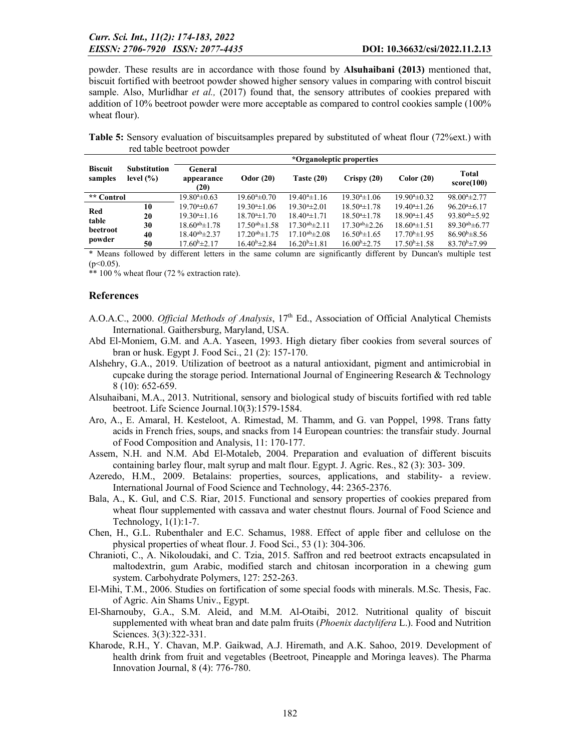powder. These results are in accordance with those found by Alsuhaibani (2013) mentioned that, biscuit fortified with beetroot powder showed higher sensory values in comparing with control biscuit sample. Also, Murlidhar *et al.,* (2017) found that, the sensory attributes of cookies prepared with addition of 10% beetroot powder were more acceptable as compared to control cookies sample (100% wheat flour).

Table 5: Sensory evaluation of biscuitsamples prepared by substituted of wheat flour (72%ext.) with red table beetroot powder

|                           |                                      | *Organoleptic properties      |                       |                       |                       |                             |                       |
|---------------------------|--------------------------------------|-------------------------------|-----------------------|-----------------------|-----------------------|-----------------------------|-----------------------|
| <b>Biscuit</b><br>samples | <b>Substitution</b><br>level $(\% )$ | General<br>appearance<br>(20) | Odor $(20)$           | Taste $(20)$          | Crispy(20)            | Color(20)                   | Total<br>score(100)   |
| ** Control                |                                      | $19.80^{\circ} \pm 0.63$      | $19.604 \pm 0.70$     | $19.40^{a} \pm 1.16$  | $19.304 \pm 1.06$     | $19.90^{\mathrm{a}}\pm0.32$ | $98.004 \pm 2.77$     |
|                           | 10                                   | $19.70^{\circ}$ ±0.67         | $19.304 \pm 1.06$     | $19.30^{\circ}$ ±2.01 | $18.504 \pm 1.78$     | $19.404 \pm 1.26$           | $96.20^{a} \pm 6.17$  |
| Red                       | 20                                   | $19.304 \pm 1.16$             | $18.704 \pm 1.70$     | $18.404 \pm 1.71$     | $18.504 \pm 1.78$     | $18.90^{\circ}$ ±1.45       | $93.80^{ab} \pm 5.92$ |
| table<br>beetroot         | 30                                   | $18.60^{ab} \pm 1.78$         | $17.50^{ab} \pm 1.58$ | $17.30^{ab} \pm 2.11$ | $17.30^{ab} \pm 2.26$ | $18.60^{\circ}$ ±1.51       | $89.30^{ab} \pm 6.77$ |
|                           | 40                                   | $18.40^{ab} \pm 2.37$         | $17.20^{ab} \pm 1.75$ | $17.10^{ab} \pm 2.08$ | $16.50^{\circ}$ ±1.65 | $17.70^{\circ}$ ±1.95       | $86.90b \pm 8.56$     |
| powder                    | 50                                   | $17.60^{\rm b}$ $\pm 2.17$    | $16.40^{b} \pm 2.84$  | $16.20^{b} \pm 1.81$  | $16.00b \pm 2.75$     | $17.50^{\rm b} \pm 1.58$    | $83.70^{b} \pm 7.99$  |

\* Means followed by different letters in the same column are significantly different by Duncan's multiple test  $(p<0.05)$ .

\*\* 100 % wheat flour (72 % extraction rate).

## References

- A.O.A.C., 2000. *Official Methods of Analysis*, 17<sup>th</sup> Ed., Association of Official Analytical Chemists International. Gaithersburg, Maryland, USA.
- Abd El-Moniem, G.M. and A.A. Yaseen, 1993. High dietary fiber cookies from several sources of bran or husk. Egypt J. Food Sci., 21 (2): 157-170.
- Alshehry, G.A., 2019. Utilization of beetroot as a natural antioxidant, pigment and antimicrobial in cupcake during the storage period. International Journal of Engineering Research & Technology 8 (10): 652-659.
- Alsuhaibani, M.A., 2013. Nutritional, sensory and biological study of biscuits fortified with red table beetroot. Life Science Journal.10(3):1579-1584.
- Aro, A., E. Amaral, H. Kesteloot, A. Rimestad, M. Thamm, and G. van Poppel, 1998. Trans fatty acids in French fries, soups, and snacks from 14 European countries: the transfair study. Journal of Food Composition and Analysis, 11: 170-177.
- Assem, N.H. and N.M. Abd El-Motaleb, 2004. Preparation and evaluation of different biscuits containing barley flour, malt syrup and malt flour. Egypt. J. Agric. Res., 82 (3): 303- 309.
- Azeredo, H.M., 2009. Betalains: properties, sources, applications, and stability- a review. International Journal of Food Science and Technology, 44: 2365-2376.
- Bala, A., K. Gul, and C.S. Riar, 2015. Functional and sensory properties of cookies prepared from wheat flour supplemented with cassava and water chestnut flours. Journal of Food Science and Technology, 1(1):1-7.
- Chen, H., G.L. Rubenthaler and E.C. Schamus, 1988. Effect of apple fiber and cellulose on the physical properties of wheat flour. J. Food Sci., 53 (1): 304-306.
- Chranioti, C., A. Nikoloudaki, and C. Tzia, 2015. Saffron and red beetroot extracts encapsulated in maltodextrin, gum Arabic, modified starch and chitosan incorporation in a chewing gum system. Carbohydrate Polymers, 127: 252-263.
- El-Mihi, T.M., 2006. Studies on fortification of some special foods with minerals. M.Sc. Thesis, Fac. of Agric. Ain Shams Univ., Egypt.
- El-Sharnouby, G.A., S.M. Aleid, and M.M. Al-Otaibi, 2012. Nutritional quality of biscuit supplemented with wheat bran and date palm fruits (*Phoenix dactylifera* L.). Food and Nutrition Sciences. 3(3):322-331.
- Kharode, R.H., Y. Chavan, M.P. Gaikwad, A.J. Hiremath, and A.K. Sahoo, 2019. Development of health drink from fruit and vegetables (Beetroot, Pineapple and Moringa leaves). The Pharma Innovation Journal, 8 (4): 776-780.